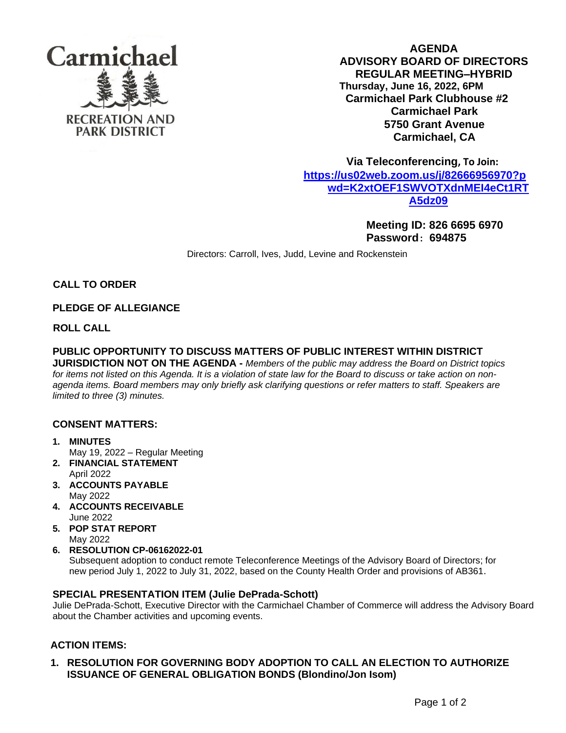

**AGENDA ADVISORY BOARD OF DIRECTORS REGULAR MEETING–HYBRID Thursday, June 16, 2022, 6PM Carmichael Park Clubhouse #2 Carmichael Park 5750 Grant Avenue Carmichael, CA**

 **Via Teleconferencing, To Join: [https://us02web.zoom.us/j/82666956970?p](https://us02web.zoom.us/j/82666956970?pwd=K2xtOEF1SWVOTXdnMEI4eCt1RTA5dz09) [wd=K2xtOEF1SWVOTXdnMEI4eCt1RT](https://us02web.zoom.us/j/82666956970?pwd=K2xtOEF1SWVOTXdnMEI4eCt1RTA5dz09) [A5dz09](https://us02web.zoom.us/j/82666956970?pwd=K2xtOEF1SWVOTXdnMEI4eCt1RTA5dz09)**

> **Meeting ID: 826 6695 6970 Password**: **694875**

Directors: Carroll, Ives, Judd, Levine and Rockenstein

**CALL TO ORDER** 

# **PLEDGE OF ALLEGIANCE**

**ROLL CALL**

# **PUBLIC OPPORTUNITY TO DISCUSS MATTERS OF PUBLIC INTEREST WITHIN DISTRICT**

**JURISDICTION NOT ON THE AGENDA -** *Members of the public may address the Board on District topics for items not listed on this Agenda. It is a violation of state law for the Board to discuss or take action on nonagenda items. Board members may only briefly ask clarifying questions or refer matters to staff. Speakers are limited to three (3) minutes.*

# **CONSENT MATTERS:**

- **1. MINUTES** May 19, 2022 – Regular Meeting
- **2. FINANCIAL STATEMENT** April 2022
- **3. ACCOUNTS PAYABLE**  May 2022
- **4. ACCOUNTS RECEIVABLE** June 2022
- **5. POP STAT REPORT** May 2022
- **6. RESOLUTION CP-06162022-01**

Subsequent adoption to conduct remote Teleconference Meetings of the Advisory Board of Directors; for new period July 1, 2022 to July 31, 2022, based on the County Health Order and provisions of AB361.

## **SPECIAL PRESENTATION ITEM (Julie DePrada-Schott)**

Julie DePrada-Schott, Executive Director with the Carmichael Chamber of Commerce will address the Advisory Board about the Chamber activities and upcoming events.

# **ACTION ITEMS:**

## **1. RESOLUTION FOR GOVERNING BODY ADOPTION TO CALL AN ELECTION TO AUTHORIZE ISSUANCE OF GENERAL OBLIGATION BONDS (Blondino/Jon Isom)**